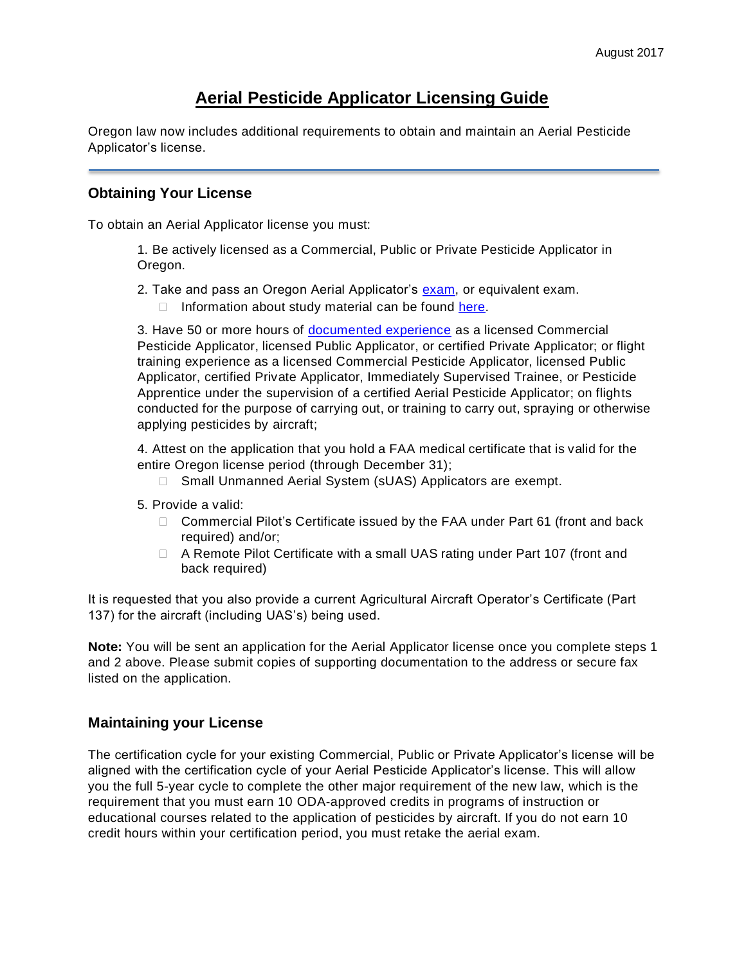## **Aerial Pesticide Applicator Licensing Guide**

Oregon law now includes additional requirements to obtain and maintain an Aerial Pesticide Applicator's license.

## **Obtaining Your License**

To obtain an Aerial Applicator license you must:

1. Be actively licensed as a Commercial, Public or Private Pesticide Applicator in Oregon.

- 2. Take and pass an Oregon Aerial Applicator's [exam,](https://www.oregon.gov/ODA/programs/Pesticides/Licensing/Pages/TakingPesticideExams.aspx) or equivalent exam.
	- $\Box$  Information about study material can be found [here.](https://www.oregon.gov/ODA/programs/Pesticides/Licensing/Pages/ExamsStudyMaterials.aspx)

3. Have 50 or more hours of [documented experience](https://www.oregon.gov/ODA/programs/Pesticides/Licensing/Documents/Aerial/AerialTrainingExperience.pdf) as a licensed Commercial Pesticide Applicator, licensed Public Applicator, or certified Private Applicator; or flight training experience as a licensed Commercial Pesticide Applicator, licensed Public Applicator, certified Private Applicator, Immediately Supervised Trainee, or Pesticide Apprentice under the supervision of a certified Aerial Pesticide Applicator; on flights conducted for the purpose of carrying out, or training to carry out, spraying or otherwise applying pesticides by aircraft;

4. Attest on the application that you hold a FAA medical certificate that is valid for the entire Oregon license period (through December 31);

- □ Small Unmanned Aerial System (sUAS) Applicators are exempt.
- 5. Provide a valid:
	- □ Commercial Pilot's Certificate issued by the FAA under Part 61 (front and back required) and/or;
	- □ A Remote Pilot Certificate with a small UAS rating under Part 107 (front and back required)

It is requested that you also provide a current Agricultural Aircraft Operator's Certificate (Part 137) for the aircraft (including UAS's) being used.

**Note:** You will be sent an application for the Aerial Applicator license once you complete steps 1 and 2 above. Please submit copies of supporting documentation to the address or secure fax listed on the application.

## **Maintaining your License**

The certification cycle for your existing Commercial, Public or Private Applicator's license will be aligned with the certification cycle of your Aerial Pesticide Applicator's license. This will allow you the full 5-year cycle to complete the other major requirement of the new law, which is the requirement that you must earn 10 ODA-approved credits in programs of instruction or educational courses related to the application of pesticides by aircraft. If you do not earn 10 credit hours within your certification period, you must retake the aerial exam.